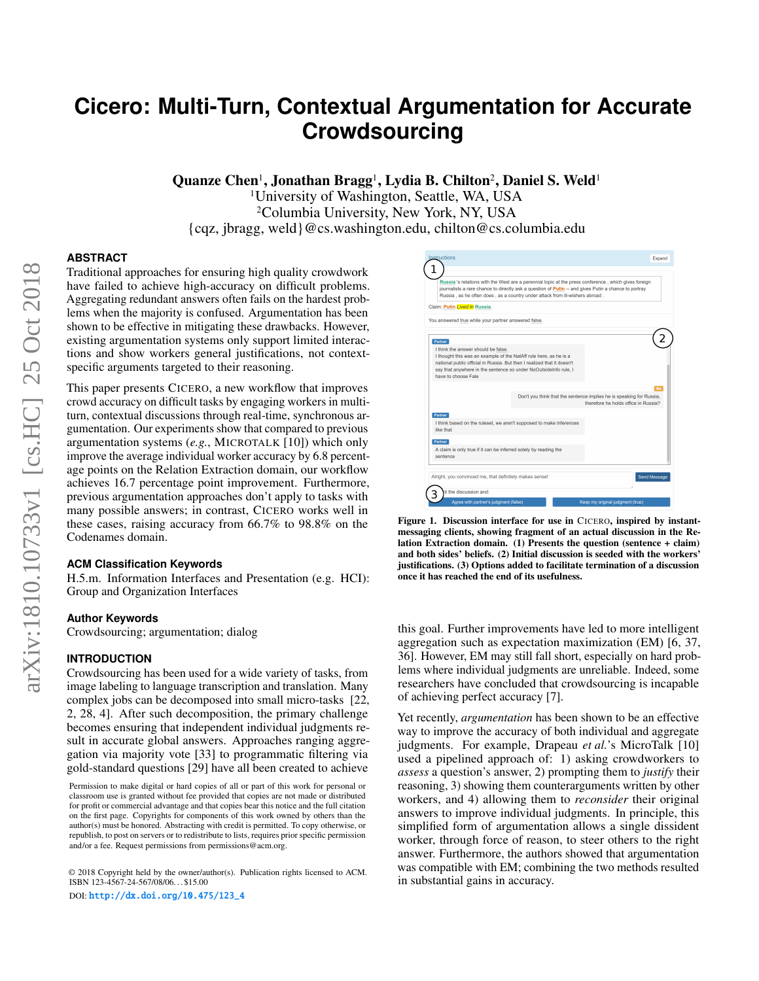# **Cicero: Multi-Turn, Contextual Argumentation for Accurate Crowdsourcing**

Quanze Chen<sup>1</sup>, Jonathan Bragg<sup>1</sup>, Lydia B. Chilton<sup>2</sup>, Daniel S. Weld<sup>1</sup>

<sup>1</sup>University of Washington, Seattle, WA, USA <sup>2</sup>Columbia University, New York, NY, USA {cqz, jbragg, weld}@cs.washington.edu, chilton@cs.columbia.edu

## **ABSTRACT**

Traditional approaches for ensuring high quality crowdwork have failed to achieve high-accuracy on difficult problems. Aggregating redundant answers often fails on the hardest problems when the majority is confused. Argumentation has been shown to be effective in mitigating these drawbacks. However, existing argumentation systems only support limited interactions and show workers general justifications, not contextspecific arguments targeted to their reasoning.

This paper presents CICERO, a new workflow that improves crowd accuracy on difficult tasks by engaging workers in multiturn, contextual discussions through real-time, synchronous argumentation. Our experiments show that compared to previous argumentation systems (*e.g.*, MICROTALK [\[10\]](#page-10-0)) which only improve the average individual worker accuracy by 6.8 percentage points on the Relation Extraction domain, our workflow achieves 16.7 percentage point improvement. Furthermore, previous argumentation approaches don't apply to tasks with many possible answers; in contrast, CICERO works well in these cases, raising accuracy from 66.7% to 98.8% on the Codenames domain.

## **ACM Classification Keywords**

H.5.m. Information Interfaces and Presentation (e.g. HCI): Group and Organization Interfaces

## **Author Keywords**

Crowdsourcing; argumentation; dialog

## **INTRODUCTION**

Crowdsourcing has been used for a wide variety of tasks, from image labeling to language transcription and translation. Many complex jobs can be decomposed into small micro-tasks [\[22,](#page-10-1) [2,](#page-10-2) [28,](#page-11-0) [4\]](#page-10-3). After such decomposition, the primary challenge becomes ensuring that independent individual judgments result in accurate global answers. Approaches ranging aggregation via majority vote [\[33\]](#page-11-1) to programmatic filtering via gold-standard questions [\[29\]](#page-11-2) have all been created to achieve

© 2018 Copyright held by the owner/author(s). Publication rights licensed to ACM. ISBN 123-4567-24-567/08/06. . . \$15.00

DOI: [http://dx.doi.org/10.475/123\\_4](http://dx.doi.org/10.475/123_4)

Expand  $\mathbf{1}$ 's relations with the West are a perennial topic at the press conference, which gives foreign interest of the chance to directly ask a question of **Putin** – and gives Putin a chance to portray<br>Russia, as he often does, as a country under attack from ill-wishers abroad. Claim: Putin Lived In Russia. You answered true while your partner answered false  $\overline{2}$ Partner **Father**<br>
I think the answer should be false.<br>
I thought this was an example of the NatAff rule here, as he is a<br>
national public official in Russia. But then I realized that it doesn's<br>
any hat anywhere in the sentence so Don't you think that the sentence implies he is speaking for Russia, therefore he holds office in I think b d on the ruleset, we aren't supposed to make inferences like that A claim is only true if it can be inferred solely by reading the sentence Alright, you convinced me, that definitely makes sense Send Message 3 it the discussion and:

<span id="page-0-0"></span>Figure 1. Discussion interface for use in CICERO, inspired by instantmessaging clients, showing fragment of an actual discussion in the Relation Extraction domain. (1) Presents the question (sentence + claim) and both sides' beliefs. (2) Initial discussion is seeded with the workers' justifications. (3) Options added to facilitate termination of a discussion once it has reached the end of its usefulness.

this goal. Further improvements have led to more intelligent aggregation such as expectation maximization (EM) [\[6,](#page-10-4) [37,](#page-11-3) [36\]](#page-11-4). However, EM may still fall short, especially on hard problems where individual judgments are unreliable. Indeed, some researchers have concluded that crowdsourcing is incapable of achieving perfect accuracy [\[7\]](#page-10-5).

Yet recently, *argumentation* has been shown to be an effective way to improve the accuracy of both individual and aggregate judgments. For example, Drapeau *et al.*'s MicroTalk [\[10\]](#page-10-0) used a pipelined approach of: 1) asking crowdworkers to *assess* a question's answer, 2) prompting them to *justify* their reasoning, 3) showing them counterarguments written by other workers, and 4) allowing them to *reconsider* their original answers to improve individual judgments. In principle, this simplified form of argumentation allows a single dissident worker, through force of reason, to steer others to the right answer. Furthermore, the authors showed that argumentation was compatible with EM; combining the two methods resulted in substantial gains in accuracy.

Permission to make digital or hard copies of all or part of this work for personal or classroom use is granted without fee provided that copies are not made or distributed for profit or commercial advantage and that copies bear this notice and the full citation on the first page. Copyrights for components of this work owned by others than the author(s) must be honored. Abstracting with credit is permitted. To copy otherwise, or republish, to post on servers or to redistribute to lists, requires prior specific permission and/or a fee. Request permissions from permissions@acm.org.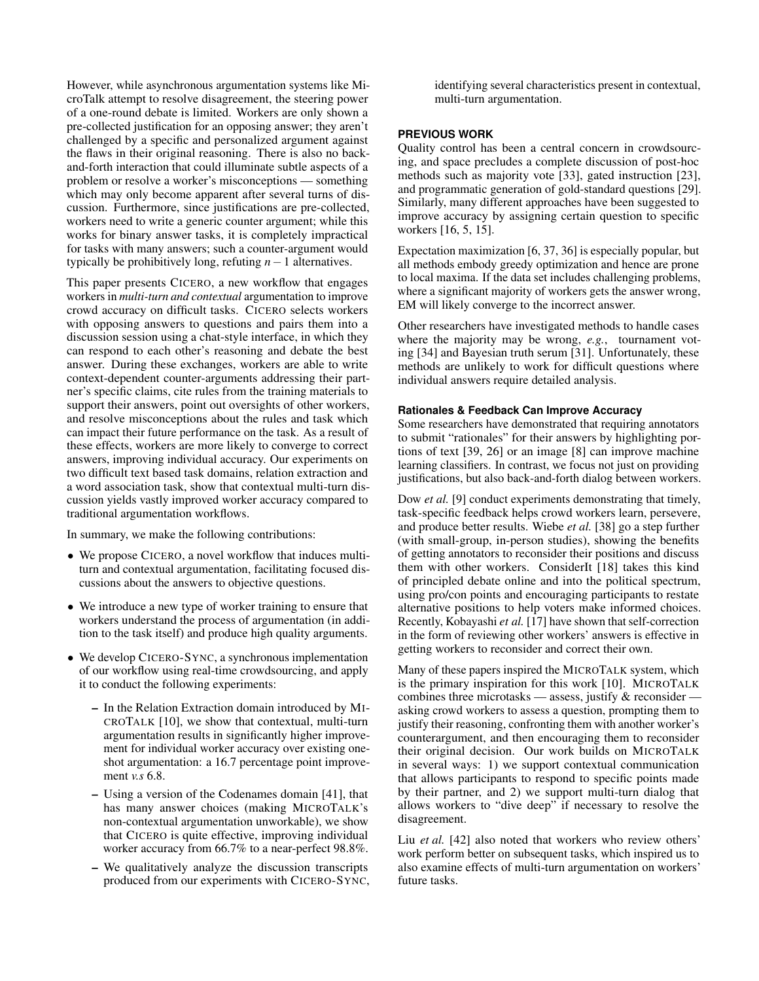However, while asynchronous argumentation systems like MicroTalk attempt to resolve disagreement, the steering power of a one-round debate is limited. Workers are only shown a pre-collected justification for an opposing answer; they aren't challenged by a specific and personalized argument against the flaws in their original reasoning. There is also no backand-forth interaction that could illuminate subtle aspects of a problem or resolve a worker's misconceptions — something which may only become apparent after several turns of discussion. Furthermore, since justifications are pre-collected, workers need to write a generic counter argument; while this works for binary answer tasks, it is completely impractical for tasks with many answers; such a counter-argument would typically be prohibitively long, refuting *n*−1 alternatives.

This paper presents CICERO, a new workflow that engages workers in *multi-turn and contextual* argumentation to improve crowd accuracy on difficult tasks. CICERO selects workers with opposing answers to questions and pairs them into a discussion session using a chat-style interface, in which they can respond to each other's reasoning and debate the best answer. During these exchanges, workers are able to write context-dependent counter-arguments addressing their partner's specific claims, cite rules from the training materials to support their answers, point out oversights of other workers, and resolve misconceptions about the rules and task which can impact their future performance on the task. As a result of these effects, workers are more likely to converge to correct answers, improving individual accuracy. Our experiments on two difficult text based task domains, relation extraction and a word association task, show that contextual multi-turn discussion yields vastly improved worker accuracy compared to traditional argumentation workflows.

In summary, we make the following contributions:

- We propose CICERO, a novel workflow that induces multiturn and contextual argumentation, facilitating focused discussions about the answers to objective questions.
- We introduce a new type of worker training to ensure that workers understand the process of argumentation (in addition to the task itself) and produce high quality arguments.
- We develop CICERO-SYNC, a synchronous implementation of our workflow using real-time crowdsourcing, and apply it to conduct the following experiments:
	- In the Relation Extraction domain introduced by MI-CROTALK [\[10\]](#page-10-0), we show that contextual, multi-turn argumentation results in significantly higher improvement for individual worker accuracy over existing oneshot argumentation: a 16.7 percentage point improvement *v.s* 6.8.
	- Using a version of the Codenames domain [\[41\]](#page-11-5), that has many answer choices (making MICROTALK's non-contextual argumentation unworkable), we show that CICERO is quite effective, improving individual worker accuracy from 66.7% to a near-perfect 98.8%.
	- We qualitatively analyze the discussion transcripts produced from our experiments with CICERO-SYNC,

identifying several characteristics present in contextual, multi-turn argumentation.

## **PREVIOUS WORK**

Quality control has been a central concern in crowdsourcing, and space precludes a complete discussion of post-hoc methods such as majority vote [\[33\]](#page-11-1), gated instruction [\[23\]](#page-10-6), and programmatic generation of gold-standard questions [\[29\]](#page-11-2). Similarly, many different approaches have been suggested to improve accuracy by assigning certain question to specific workers [\[16,](#page-10-7) [5,](#page-10-8) [15\]](#page-10-9).

Expectation maximization [\[6,](#page-10-4) [37,](#page-11-3) [36\]](#page-11-4) is especially popular, but all methods embody greedy optimization and hence are prone to local maxima. If the data set includes challenging problems, where a significant majority of workers gets the answer wrong, EM will likely converge to the incorrect answer.

Other researchers have investigated methods to handle cases where the majority may be wrong, *e.g.*, tournament voting [\[34\]](#page-11-6) and Bayesian truth serum [\[31\]](#page-11-7). Unfortunately, these methods are unlikely to work for difficult questions where individual answers require detailed analysis.

#### **Rationales & Feedback Can Improve Accuracy**

Some researchers have demonstrated that requiring annotators to submit "rationales" for their answers by highlighting portions of text [\[39,](#page-11-8) [26\]](#page-11-9) or an image [\[8\]](#page-10-10) can improve machine learning classifiers. In contrast, we focus not just on providing justifications, but also back-and-forth dialog between workers.

Dow *et al.* [\[9\]](#page-10-11) conduct experiments demonstrating that timely, task-specific feedback helps crowd workers learn, persevere, and produce better results. Wiebe *et al.* [\[38\]](#page-11-10) go a step further (with small-group, in-person studies), showing the benefits of getting annotators to reconsider their positions and discuss them with other workers. ConsiderIt [\[18\]](#page-10-12) takes this kind of principled debate online and into the political spectrum, using pro/con points and encouraging participants to restate alternative positions to help voters make informed choices. Recently, Kobayashi *et al.* [\[17\]](#page-10-13) have shown that self-correction in the form of reviewing other workers' answers is effective in getting workers to reconsider and correct their own.

Many of these papers inspired the MICROTALK system, which is the primary inspiration for this work [\[10\]](#page-10-0). MICROTALK combines three microtasks — assess, justify  $\&$  reconsider asking crowd workers to assess a question, prompting them to justify their reasoning, confronting them with another worker's counterargument, and then encouraging them to reconsider their original decision. Our work builds on MICROTALK in several ways: 1) we support contextual communication that allows participants to respond to specific points made by their partner, and 2) we support multi-turn dialog that allows workers to "dive deep" if necessary to resolve the disagreement.

Liu *et al.* [\[42\]](#page-11-11) also noted that workers who review others' work perform better on subsequent tasks, which inspired us to also examine effects of multi-turn argumentation on workers' future tasks.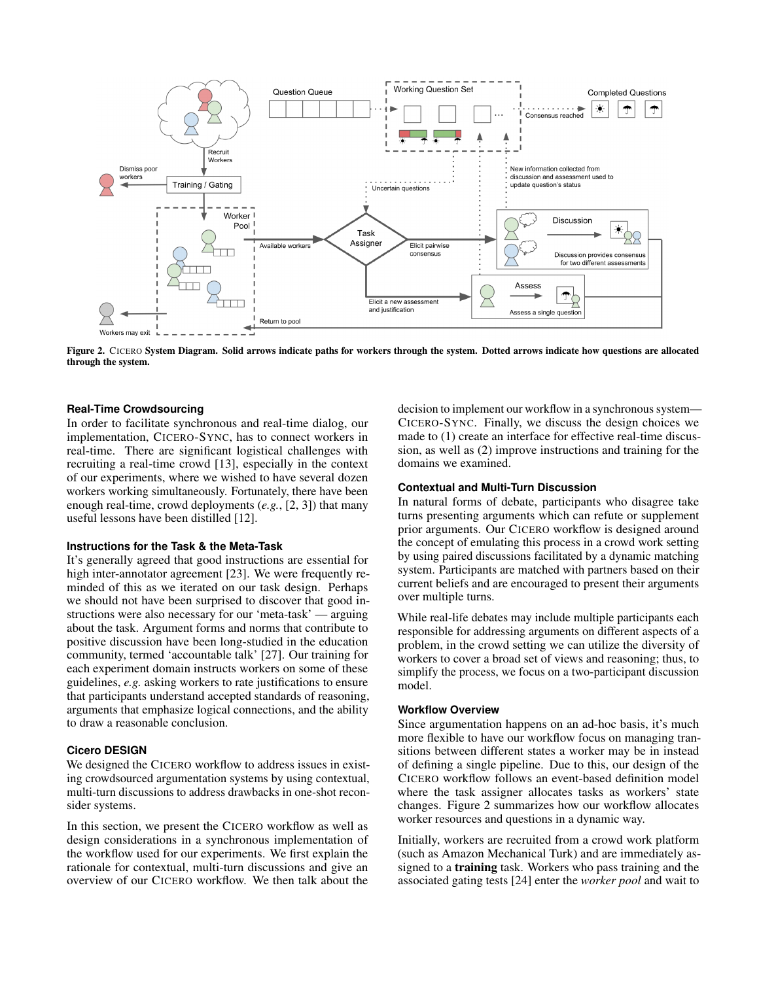

<span id="page-2-0"></span>Figure 2. CICERO System Diagram. Solid arrows indicate paths for workers through the system. Dotted arrows indicate how questions are allocated through the system.

## **Real-Time Crowdsourcing**

In order to facilitate synchronous and real-time dialog, our implementation, CICERO-SYNC, has to connect workers in real-time. There are significant logistical challenges with recruiting a real-time crowd [\[13\]](#page-10-14), especially in the context of our experiments, where we wished to have several dozen workers working simultaneously. Fortunately, there have been enough real-time, crowd deployments (*e.g.*, [\[2,](#page-10-2) [3\]](#page-10-15)) that many useful lessons have been distilled [\[12\]](#page-10-16).

## **Instructions for the Task & the Meta-Task**

It's generally agreed that good instructions are essential for high inter-annotator agreement [\[23\]](#page-10-6). We were frequently reminded of this as we iterated on our task design. Perhaps we should not have been surprised to discover that good instructions were also necessary for our 'meta-task' — arguing about the task. Argument forms and norms that contribute to positive discussion have been long-studied in the education community, termed 'accountable talk' [\[27\]](#page-11-12). Our training for each experiment domain instructs workers on some of these guidelines, *e.g.* asking workers to rate justifications to ensure that participants understand accepted standards of reasoning, arguments that emphasize logical connections, and the ability to draw a reasonable conclusion.

## **Cicero DESIGN**

We designed the CICERO workflow to address issues in existing crowdsourced argumentation systems by using contextual, multi-turn discussions to address drawbacks in one-shot reconsider systems.

In this section, we present the CICERO workflow as well as design considerations in a synchronous implementation of the workflow used for our experiments. We first explain the rationale for contextual, multi-turn discussions and give an overview of our CICERO workflow. We then talk about the decision to implement our workflow in a synchronous system— CICERO-SYNC. Finally, we discuss the design choices we made to (1) create an interface for effective real-time discussion, as well as (2) improve instructions and training for the domains we examined.

## **Contextual and Multi-Turn Discussion**

In natural forms of debate, participants who disagree take turns presenting arguments which can refute or supplement prior arguments. Our CICERO workflow is designed around the concept of emulating this process in a crowd work setting by using paired discussions facilitated by a dynamic matching system. Participants are matched with partners based on their current beliefs and are encouraged to present their arguments over multiple turns.

While real-life debates may include multiple participants each responsible for addressing arguments on different aspects of a problem, in the crowd setting we can utilize the diversity of workers to cover a broad set of views and reasoning; thus, to simplify the process, we focus on a two-participant discussion model.

#### **Workflow Overview**

Since argumentation happens on an ad-hoc basis, it's much more flexible to have our workflow focus on managing transitions between different states a worker may be in instead of defining a single pipeline. Due to this, our design of the CICERO workflow follows an event-based definition model where the task assigner allocates tasks as workers' state changes. Figure [2](#page-2-0) summarizes how our workflow allocates worker resources and questions in a dynamic way.

Initially, workers are recruited from a crowd work platform (such as Amazon Mechanical Turk) and are immediately assigned to a training task. Workers who pass training and the associated gating tests [\[24\]](#page-10-17) enter the *worker pool* and wait to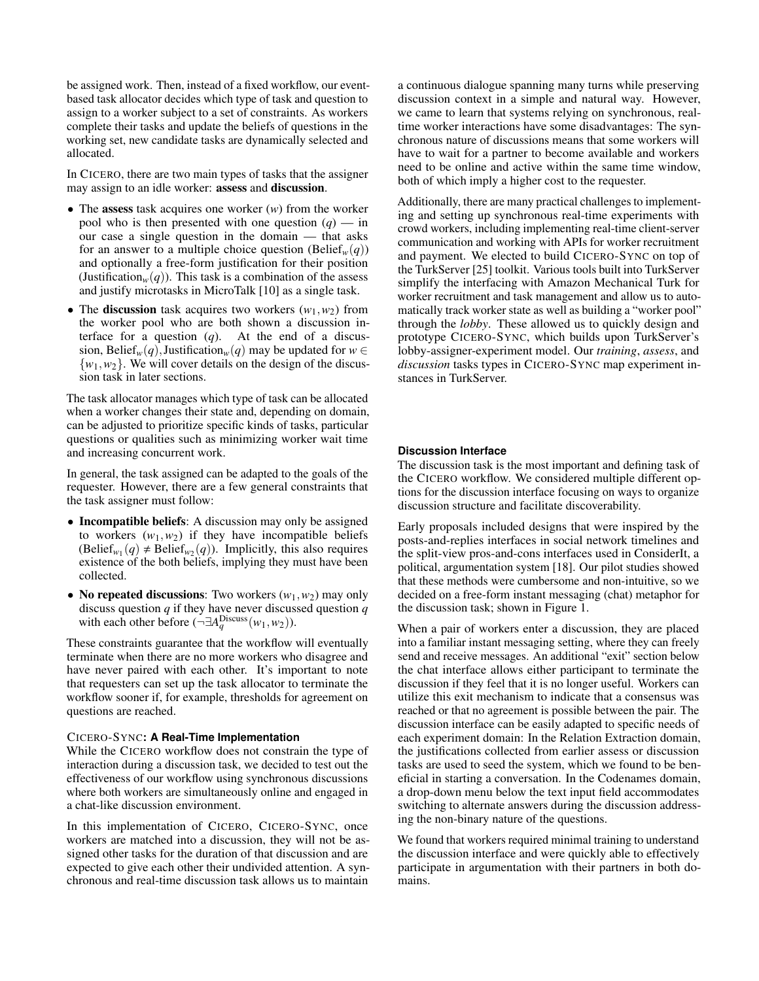be assigned work. Then, instead of a fixed workflow, our eventbased task allocator decides which type of task and question to assign to a worker subject to a set of constraints. As workers complete their tasks and update the beliefs of questions in the working set, new candidate tasks are dynamically selected and allocated.

In CICERO, there are two main types of tasks that the assigner may assign to an idle worker: assess and discussion.

- The assess task acquires one worker (*w*) from the worker pool who is then presented with one question  $(q)$  — in our case a single question in the domain — that asks for an answer to a multiple choice question (Belief<sub>*w*</sub>(*q*)) and optionally a free-form justification for their position (Justification<sub>*w*</sub> $(q)$ ). This task is a combination of the assess and justify microtasks in MicroTalk [\[10\]](#page-10-0) as a single task.
- The **discussion** task acquires two workers  $(w_1, w_2)$  from the worker pool who are both shown a discussion interface for a question (*q*). At the end of a discussion, Belief<sub>*w*</sub>(*q*), Justification<sub>*w*</sub>(*q*) may be updated for *w* ∈  $\{w_1, w_2\}$ . We will cover details on the design of the discussion task in later sections.

The task allocator manages which type of task can be allocated when a worker changes their state and, depending on domain, can be adjusted to prioritize specific kinds of tasks, particular questions or qualities such as minimizing worker wait time and increasing concurrent work.

In general, the task assigned can be adapted to the goals of the requester. However, there are a few general constraints that the task assigner must follow:

- Incompatible beliefs: A discussion may only be assigned to workers  $(w_1, w_2)$  if they have incompatible beliefs (Belief<sub>*w*1</sub>(*q*)  $\neq$  Belief<sub>*w*2</sub>(*q*)). Implicitly, this also requires existence of the both beliefs, implying they must have been collected.
- No repeated discussions: Two workers  $(w_1, w_2)$  may only discuss question *q* if they have never discussed question *q* with each other before  $(\neg \exists A_q^{\text{Discuss}}(w_1, w_2)).$

These constraints guarantee that the workflow will eventually terminate when there are no more workers who disagree and have never paired with each other. It's important to note that requesters can set up the task allocator to terminate the workflow sooner if, for example, thresholds for agreement on questions are reached.

#### CICERO-SYNC**: A Real-Time Implementation**

While the CICERO workflow does not constrain the type of interaction during a discussion task, we decided to test out the effectiveness of our workflow using synchronous discussions where both workers are simultaneously online and engaged in a chat-like discussion environment.

In this implementation of CICERO, CICERO-SYNC, once workers are matched into a discussion, they will not be assigned other tasks for the duration of that discussion and are expected to give each other their undivided attention. A synchronous and real-time discussion task allows us to maintain

a continuous dialogue spanning many turns while preserving discussion context in a simple and natural way. However, we came to learn that systems relying on synchronous, realtime worker interactions have some disadvantages: The synchronous nature of discussions means that some workers will have to wait for a partner to become available and workers need to be online and active within the same time window, both of which imply a higher cost to the requester.

Additionally, there are many practical challenges to implementing and setting up synchronous real-time experiments with crowd workers, including implementing real-time client-server communication and working with APIs for worker recruitment and payment. We elected to build CICERO-SYNC on top of the TurkServer [\[25\]](#page-11-13) toolkit. Various tools built into TurkServer simplify the interfacing with Amazon Mechanical Turk for worker recruitment and task management and allow us to automatically track worker state as well as building a "worker pool" through the *lobby*. These allowed us to quickly design and prototype CICERO-SYNC, which builds upon TurkServer's lobby-assigner-experiment model. Our *training*, *assess*, and *discussion* tasks types in CICERO-SYNC map experiment instances in TurkServer.

## **Discussion Interface**

The discussion task is the most important and defining task of the CICERO workflow. We considered multiple different options for the discussion interface focusing on ways to organize discussion structure and facilitate discoverability.

Early proposals included designs that were inspired by the posts-and-replies interfaces in social network timelines and the split-view pros-and-cons interfaces used in ConsiderIt, a political, argumentation system [\[18\]](#page-10-12). Our pilot studies showed that these methods were cumbersome and non-intuitive, so we decided on a free-form instant messaging (chat) metaphor for the discussion task; shown in Figure [1.](#page-0-0)

When a pair of workers enter a discussion, they are placed into a familiar instant messaging setting, where they can freely send and receive messages. An additional "exit" section below the chat interface allows either participant to terminate the discussion if they feel that it is no longer useful. Workers can utilize this exit mechanism to indicate that a consensus was reached or that no agreement is possible between the pair. The discussion interface can be easily adapted to specific needs of each experiment domain: In the Relation Extraction domain, the justifications collected from earlier assess or discussion tasks are used to seed the system, which we found to be beneficial in starting a conversation. In the Codenames domain, a drop-down menu below the text input field accommodates switching to alternate answers during the discussion addressing the non-binary nature of the questions.

We found that workers required minimal training to understand the discussion interface and were quickly able to effectively participate in argumentation with their partners in both domains.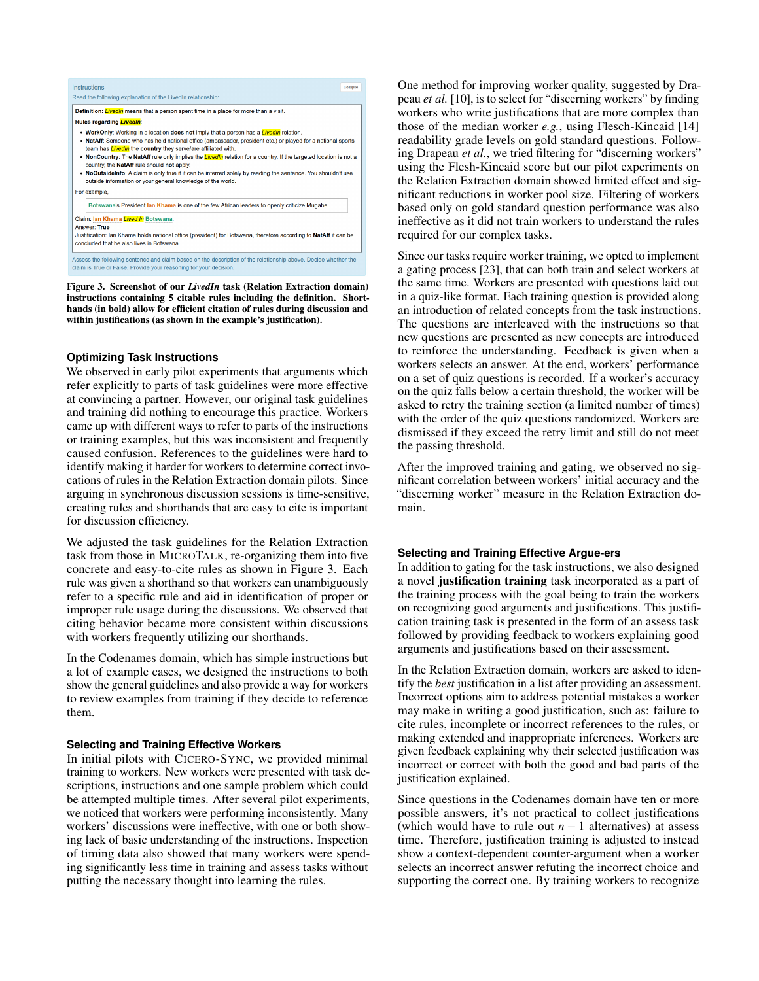

<span id="page-4-0"></span>Figure 3. Screenshot of our *LivedIn* task (Relation Extraction domain) instructions containing 5 citable rules including the definition. Shorthands (in bold) allow for efficient citation of rules during discussion and within justifications (as shown in the example's justification).

#### **Optimizing Task Instructions**

We observed in early pilot experiments that arguments which refer explicitly to parts of task guidelines were more effective at convincing a partner. However, our original task guidelines and training did nothing to encourage this practice. Workers came up with different ways to refer to parts of the instructions or training examples, but this was inconsistent and frequently caused confusion. References to the guidelines were hard to identify making it harder for workers to determine correct invocations of rules in the Relation Extraction domain pilots. Since arguing in synchronous discussion sessions is time-sensitive, creating rules and shorthands that are easy to cite is important for discussion efficiency.

We adjusted the task guidelines for the Relation Extraction task from those in MICROTALK, re-organizing them into five concrete and easy-to-cite rules as shown in Figure [3.](#page-4-0) Each rule was given a shorthand so that workers can unambiguously refer to a specific rule and aid in identification of proper or improper rule usage during the discussions. We observed that citing behavior became more consistent within discussions with workers frequently utilizing our shorthands.

In the Codenames domain, which has simple instructions but a lot of example cases, we designed the instructions to both show the general guidelines and also provide a way for workers to review examples from training if they decide to reference them.

#### **Selecting and Training Effective Workers**

In initial pilots with CICERO-SYNC, we provided minimal training to workers. New workers were presented with task descriptions, instructions and one sample problem which could be attempted multiple times. After several pilot experiments, we noticed that workers were performing inconsistently. Many workers' discussions were ineffective, with one or both showing lack of basic understanding of the instructions. Inspection of timing data also showed that many workers were spending significantly less time in training and assess tasks without putting the necessary thought into learning the rules.

One method for improving worker quality, suggested by Drapeau *et al.* [\[10\]](#page-10-0), is to select for "discerning workers" by finding workers who write justifications that are more complex than those of the median worker *e.g.*, using Flesch-Kincaid [\[14\]](#page-10-18) readability grade levels on gold standard questions. Following Drapeau *et al.*, we tried filtering for "discerning workers" using the Flesh-Kincaid score but our pilot experiments on the Relation Extraction domain showed limited effect and significant reductions in worker pool size. Filtering of workers based only on gold standard question performance was also ineffective as it did not train workers to understand the rules required for our complex tasks.

Since our tasks require worker training, we opted to implement a gating process [\[23\]](#page-10-6), that can both train and select workers at the same time. Workers are presented with questions laid out in a quiz-like format. Each training question is provided along an introduction of related concepts from the task instructions. The questions are interleaved with the instructions so that new questions are presented as new concepts are introduced to reinforce the understanding. Feedback is given when a workers selects an answer. At the end, workers' performance on a set of quiz questions is recorded. If a worker's accuracy on the quiz falls below a certain threshold, the worker will be asked to retry the training section (a limited number of times) with the order of the quiz questions randomized. Workers are dismissed if they exceed the retry limit and still do not meet the passing threshold.

After the improved training and gating, we observed no significant correlation between workers' initial accuracy and the "discerning worker" measure in the Relation Extraction domain.

# **Selecting and Training Effective Argue-ers**

In addition to gating for the task instructions, we also designed a novel justification training task incorporated as a part of the training process with the goal being to train the workers on recognizing good arguments and justifications. This justification training task is presented in the form of an assess task followed by providing feedback to workers explaining good arguments and justifications based on their assessment.

In the Relation Extraction domain, workers are asked to identify the *best* justification in a list after providing an assessment. Incorrect options aim to address potential mistakes a worker may make in writing a good justification, such as: failure to cite rules, incomplete or incorrect references to the rules, or making extended and inappropriate inferences. Workers are given feedback explaining why their selected justification was incorrect or correct with both the good and bad parts of the justification explained.

Since questions in the Codenames domain have ten or more possible answers, it's not practical to collect justifications (which would have to rule out  $n-1$  alternatives) at assess time. Therefore, justification training is adjusted to instead show a context-dependent counter-argument when a worker selects an incorrect answer refuting the incorrect choice and supporting the correct one. By training workers to recognize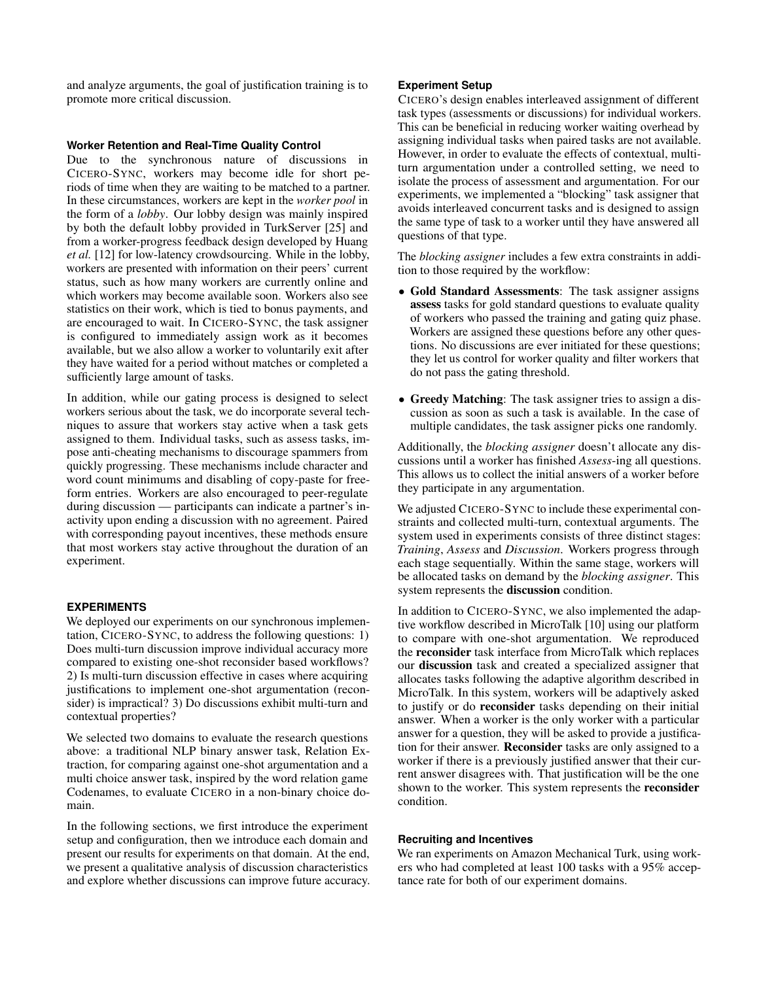and analyze arguments, the goal of justification training is to promote more critical discussion.

## **Worker Retention and Real-Time Quality Control**

Due to the synchronous nature of discussions in CICERO-SYNC, workers may become idle for short periods of time when they are waiting to be matched to a partner. In these circumstances, workers are kept in the *worker pool* in the form of a *lobby*. Our lobby design was mainly inspired by both the default lobby provided in TurkServer [\[25\]](#page-11-13) and from a worker-progress feedback design developed by Huang *et al.* [\[12\]](#page-10-16) for low-latency crowdsourcing. While in the lobby, workers are presented with information on their peers' current status, such as how many workers are currently online and which workers may become available soon. Workers also see statistics on their work, which is tied to bonus payments, and are encouraged to wait. In CICERO-SYNC, the task assigner is configured to immediately assign work as it becomes available, but we also allow a worker to voluntarily exit after they have waited for a period without matches or completed a sufficiently large amount of tasks.

In addition, while our gating process is designed to select workers serious about the task, we do incorporate several techniques to assure that workers stay active when a task gets assigned to them. Individual tasks, such as assess tasks, impose anti-cheating mechanisms to discourage spammers from quickly progressing. These mechanisms include character and word count minimums and disabling of copy-paste for freeform entries. Workers are also encouraged to peer-regulate during discussion — participants can indicate a partner's inactivity upon ending a discussion with no agreement. Paired with corresponding payout incentives, these methods ensure that most workers stay active throughout the duration of an experiment.

# **EXPERIMENTS**

We deployed our experiments on our synchronous implementation, CICERO-SYNC, to address the following questions: 1) Does multi-turn discussion improve individual accuracy more compared to existing one-shot reconsider based workflows? 2) Is multi-turn discussion effective in cases where acquiring justifications to implement one-shot argumentation (reconsider) is impractical? 3) Do discussions exhibit multi-turn and contextual properties?

We selected two domains to evaluate the research questions above: a traditional NLP binary answer task, Relation Extraction, for comparing against one-shot argumentation and a multi choice answer task, inspired by the word relation game Codenames, to evaluate CICERO in a non-binary choice domain.

In the following sections, we first introduce the experiment setup and configuration, then we introduce each domain and present our results for experiments on that domain. At the end, we present a qualitative analysis of discussion characteristics and explore whether discussions can improve future accuracy.

## **Experiment Setup**

CICERO's design enables interleaved assignment of different task types (assessments or discussions) for individual workers. This can be beneficial in reducing worker waiting overhead by assigning individual tasks when paired tasks are not available. However, in order to evaluate the effects of contextual, multiturn argumentation under a controlled setting, we need to isolate the process of assessment and argumentation. For our experiments, we implemented a "blocking" task assigner that avoids interleaved concurrent tasks and is designed to assign the same type of task to a worker until they have answered all questions of that type.

The *blocking assigner* includes a few extra constraints in addition to those required by the workflow:

- Gold Standard Assessments: The task assigner assigns assess tasks for gold standard questions to evaluate quality of workers who passed the training and gating quiz phase. Workers are assigned these questions before any other questions. No discussions are ever initiated for these questions; they let us control for worker quality and filter workers that do not pass the gating threshold.
- Greedy Matching: The task assigner tries to assign a discussion as soon as such a task is available. In the case of multiple candidates, the task assigner picks one randomly.

Additionally, the *blocking assigner* doesn't allocate any discussions until a worker has finished *Assess*-ing all questions. This allows us to collect the initial answers of a worker before they participate in any argumentation.

We adjusted CICERO-SYNC to include these experimental constraints and collected multi-turn, contextual arguments. The system used in experiments consists of three distinct stages: *Training*, *Assess* and *Discussion*. Workers progress through each stage sequentially. Within the same stage, workers will be allocated tasks on demand by the *blocking assigner*. This system represents the discussion condition.

In addition to CICERO-SYNC, we also implemented the adaptive workflow described in MicroTalk [\[10\]](#page-10-0) using our platform to compare with one-shot argumentation. We reproduced the reconsider task interface from MicroTalk which replaces our discussion task and created a specialized assigner that allocates tasks following the adaptive algorithm described in MicroTalk. In this system, workers will be adaptively asked to justify or do reconsider tasks depending on their initial answer. When a worker is the only worker with a particular answer for a question, they will be asked to provide a justification for their answer. Reconsider tasks are only assigned to a worker if there is a previously justified answer that their current answer disagrees with. That justification will be the one shown to the worker. This system represents the reconsider condition.

#### **Recruiting and Incentives**

We ran experiments on Amazon Mechanical Turk, using workers who had completed at least 100 tasks with a 95% acceptance rate for both of our experiment domains.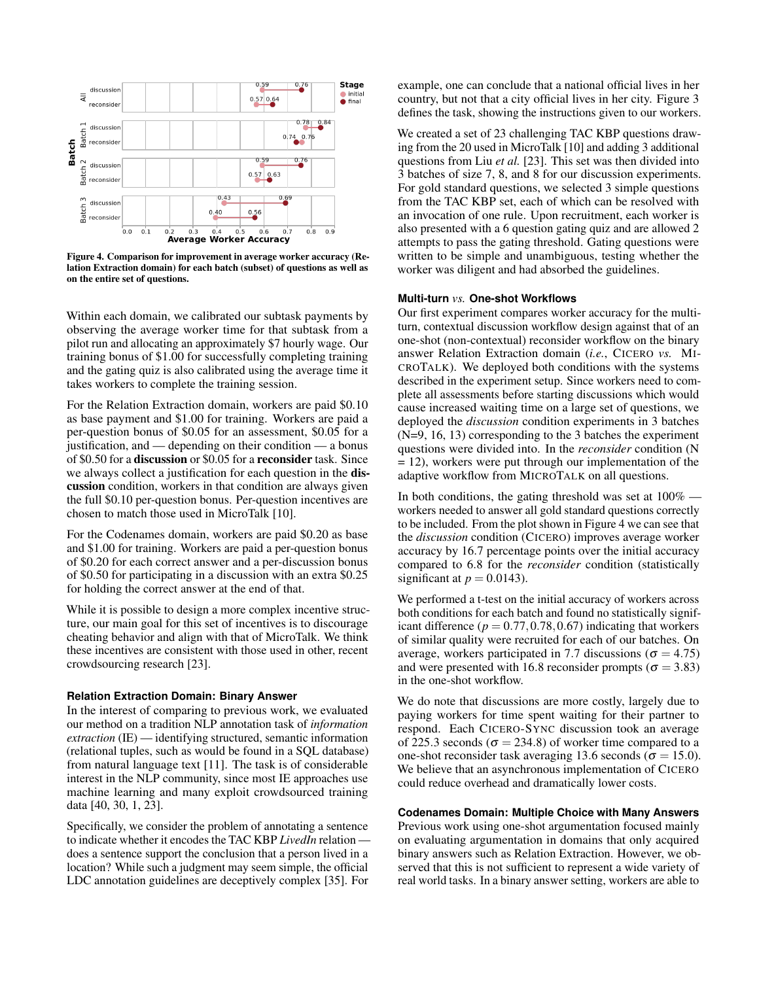

<span id="page-6-0"></span>Figure 4. Comparison for improvement in average worker accuracy (Relation Extraction domain) for each batch (subset) of questions as well as on the entire set of questions.

Within each domain, we calibrated our subtask payments by observing the average worker time for that subtask from a pilot run and allocating an approximately \$7 hourly wage. Our training bonus of \$1.00 for successfully completing training and the gating quiz is also calibrated using the average time it takes workers to complete the training session.

For the Relation Extraction domain, workers are paid \$0.10 as base payment and \$1.00 for training. Workers are paid a per-question bonus of \$0.05 for an assessment, \$0.05 for a justification, and — depending on their condition — a bonus of \$0.50 for a discussion or \$0.05 for a reconsider task. Since we always collect a justification for each question in the discussion condition, workers in that condition are always given the full \$0.10 per-question bonus. Per-question incentives are chosen to match those used in MicroTalk [\[10\]](#page-10-0).

For the Codenames domain, workers are paid \$0.20 as base and \$1.00 for training. Workers are paid a per-question bonus of \$0.20 for each correct answer and a per-discussion bonus of \$0.50 for participating in a discussion with an extra \$0.25 for holding the correct answer at the end of that.

While it is possible to design a more complex incentive structure, our main goal for this set of incentives is to discourage cheating behavior and align with that of MicroTalk. We think these incentives are consistent with those used in other, recent crowdsourcing research [\[23\]](#page-10-6).

#### **Relation Extraction Domain: Binary Answer**

In the interest of comparing to previous work, we evaluated our method on a tradition NLP annotation task of *information extraction* (IE) — identifying structured, semantic information (relational tuples, such as would be found in a SQL database) from natural language text [\[11\]](#page-10-19). The task is of considerable interest in the NLP community, since most IE approaches use machine learning and many exploit crowdsourced training data [\[40,](#page-11-14) [30,](#page-11-15) [1,](#page-10-20) [23\]](#page-10-6).

Specifically, we consider the problem of annotating a sentence to indicate whether it encodes the TAC KBP *LivedIn* relation does a sentence support the conclusion that a person lived in a location? While such a judgment may seem simple, the official LDC annotation guidelines are deceptively complex [\[35\]](#page-11-16). For

example, one can conclude that a national official lives in her country, but not that a city official lives in her city. Figure [3](#page-4-0) defines the task, showing the instructions given to our workers.

We created a set of 23 challenging TAC KBP questions drawing from the 20 used in MicroTalk [\[10\]](#page-10-0) and adding 3 additional questions from Liu *et al.* [\[23\]](#page-10-6). This set was then divided into 3 batches of size 7, 8, and 8 for our discussion experiments. For gold standard questions, we selected 3 simple questions from the TAC KBP set, each of which can be resolved with an invocation of one rule. Upon recruitment, each worker is also presented with a 6 question gating quiz and are allowed 2 attempts to pass the gating threshold. Gating questions were written to be simple and unambiguous, testing whether the worker was diligent and had absorbed the guidelines.

#### **Multi-turn** *vs.* **One-shot Workflows**

Our first experiment compares worker accuracy for the multiturn, contextual discussion workflow design against that of an one-shot (non-contextual) reconsider workflow on the binary answer Relation Extraction domain (*i.e.*, CICERO *vs.* MI-CROTALK). We deployed both conditions with the systems described in the experiment setup. Since workers need to complete all assessments before starting discussions which would cause increased waiting time on a large set of questions, we deployed the *discussion* condition experiments in 3 batches (N=9, 16, 13) corresponding to the 3 batches the experiment questions were divided into. In the *reconsider* condition (N = 12), workers were put through our implementation of the adaptive workflow from MICROTALK on all questions.

In both conditions, the gating threshold was set at 100% workers needed to answer all gold standard questions correctly to be included. From the plot shown in Figure [4](#page-6-0) we can see that the *discussion* condition (CICERO) improves average worker accuracy by 16.7 percentage points over the initial accuracy compared to 6.8 for the *reconsider* condition (statistically significant at  $p = 0.0143$ ).

We performed a t-test on the initial accuracy of workers across both conditions for each batch and found no statistically significant difference ( $p = 0.77, 0.78, 0.67$ ) indicating that workers of similar quality were recruited for each of our batches. On average, workers participated in 7.7 discussions ( $\sigma = 4.75$ ) and were presented with 16.8 reconsider prompts ( $\sigma$  = 3.83) in the one-shot workflow.

We do note that discussions are more costly, largely due to paying workers for time spent waiting for their partner to respond. Each CICERO-SYNC discussion took an average of 225.3 seconds ( $\sigma$  = 234.8) of worker time compared to a one-shot reconsider task averaging 13.6 seconds ( $\sigma = 15.0$ ). We believe that an asynchronous implementation of CICERO could reduce overhead and dramatically lower costs.

#### **Codenames Domain: Multiple Choice with Many Answers**

Previous work using one-shot argumentation focused mainly on evaluating argumentation in domains that only acquired binary answers such as Relation Extraction. However, we observed that this is not sufficient to represent a wide variety of real world tasks. In a binary answer setting, workers are able to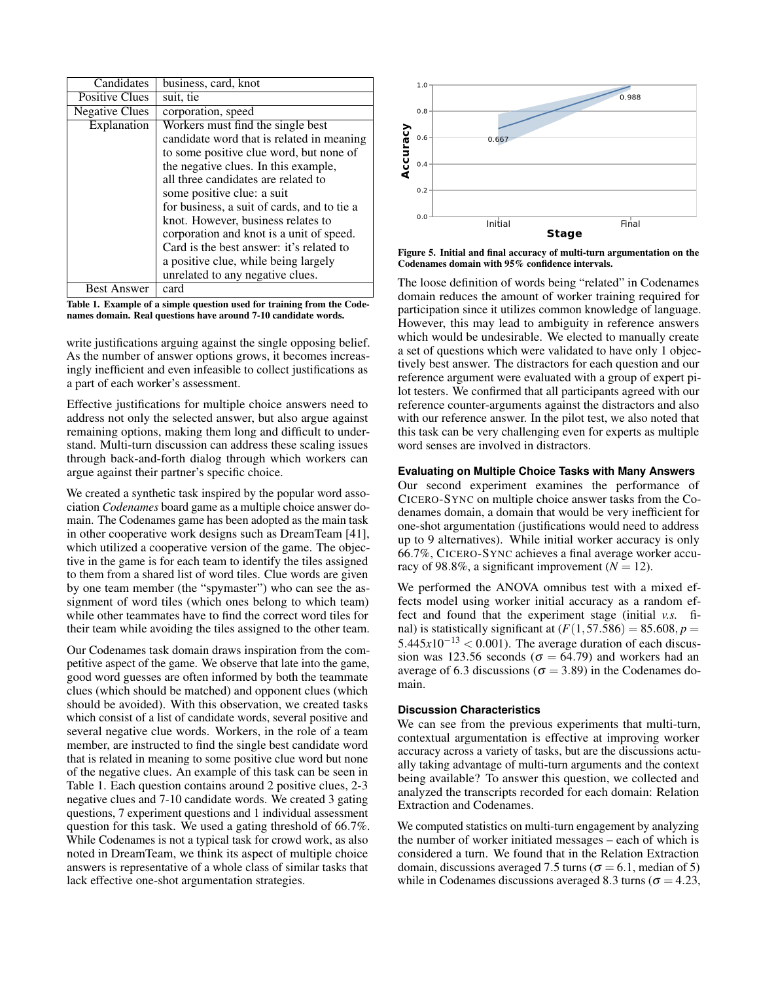| Candidates            | business, card, knot                        |  |
|-----------------------|---------------------------------------------|--|
| <b>Positive Clues</b> | suit, tie                                   |  |
| <b>Negative Clues</b> | corporation, speed                          |  |
| Explanation           | Workers must find the single best           |  |
|                       | candidate word that is related in meaning   |  |
|                       | to some positive clue word, but none of     |  |
|                       | the negative clues. In this example,        |  |
|                       | all three candidates are related to         |  |
|                       | some positive clue: a suit                  |  |
|                       | for business, a suit of cards, and to tie a |  |
|                       | knot. However, business relates to          |  |
|                       | corporation and knot is a unit of speed.    |  |
|                       | Card is the best answer: it's related to    |  |
|                       | a positive clue, while being largely        |  |
|                       | unrelated to any negative clues.            |  |
| <b>Best Answer</b>    | card                                        |  |

<span id="page-7-0"></span>Table 1. Example of a simple question used for training from the Codenames domain. Real questions have around 7-10 candidate words.

write justifications arguing against the single opposing belief. As the number of answer options grows, it becomes increasingly inefficient and even infeasible to collect justifications as a part of each worker's assessment.

Effective justifications for multiple choice answers need to address not only the selected answer, but also argue against remaining options, making them long and difficult to understand. Multi-turn discussion can address these scaling issues through back-and-forth dialog through which workers can argue against their partner's specific choice.

We created a synthetic task inspired by the popular word association *Codenames* board game as a multiple choice answer domain. The Codenames game has been adopted as the main task in other cooperative work designs such as DreamTeam [\[41\]](#page-11-5), which utilized a cooperative version of the game. The objective in the game is for each team to identify the tiles assigned to them from a shared list of word tiles. Clue words are given by one team member (the "spymaster") who can see the assignment of word tiles (which ones belong to which team) while other teammates have to find the correct word tiles for their team while avoiding the tiles assigned to the other team.

Our Codenames task domain draws inspiration from the competitive aspect of the game. We observe that late into the game, good word guesses are often informed by both the teammate clues (which should be matched) and opponent clues (which should be avoided). With this observation, we created tasks which consist of a list of candidate words, several positive and several negative clue words. Workers, in the role of a team member, are instructed to find the single best candidate word that is related in meaning to some positive clue word but none of the negative clues. An example of this task can be seen in Table [1.](#page-7-0) Each question contains around 2 positive clues, 2-3 negative clues and 7-10 candidate words. We created 3 gating questions, 7 experiment questions and 1 individual assessment question for this task. We used a gating threshold of 66.7%. While Codenames is not a typical task for crowd work, as also noted in DreamTeam, we think its aspect of multiple choice answers is representative of a whole class of similar tasks that lack effective one-shot argumentation strategies.



Figure 5. Initial and final accuracy of multi-turn argumentation on the Codenames domain with 95% confidence intervals.

The loose definition of words being "related" in Codenames domain reduces the amount of worker training required for participation since it utilizes common knowledge of language. However, this may lead to ambiguity in reference answers which would be undesirable. We elected to manually create a set of questions which were validated to have only 1 objectively best answer. The distractors for each question and our reference argument were evaluated with a group of expert pilot testers. We confirmed that all participants agreed with our reference counter-arguments against the distractors and also with our reference answer. In the pilot test, we also noted that this task can be very challenging even for experts as multiple word senses are involved in distractors.

# **Evaluating on Multiple Choice Tasks with Many Answers**

Our second experiment examines the performance of CICERO-SYNC on multiple choice answer tasks from the Codenames domain, a domain that would be very inefficient for one-shot argumentation (justifications would need to address up to 9 alternatives). While initial worker accuracy is only 66.7%, CICERO-SYNC achieves a final average worker accuracy of 98.8%, a significant improvement  $(N = 12)$ .

We performed the ANOVA omnibus test with a mixed effects model using worker initial accuracy as a random effect and found that the experiment stage (initial *v.s.* final) is statistically significant at  $(F(1, 57.586) = 85.608, p =$  $5.445x10^{-13}$  < 0.001). The average duration of each discussion was 123.56 seconds ( $\sigma$  = 64.79) and workers had an average of 6.3 discussions ( $\sigma$  = 3.89) in the Codenames domain.

# **Discussion Characteristics**

We can see from the previous experiments that multi-turn, contextual argumentation is effective at improving worker accuracy across a variety of tasks, but are the discussions actually taking advantage of multi-turn arguments and the context being available? To answer this question, we collected and analyzed the transcripts recorded for each domain: Relation Extraction and Codenames.

We computed statistics on multi-turn engagement by analyzing the number of worker initiated messages – each of which is considered a turn. We found that in the Relation Extraction domain, discussions averaged 7.5 turns ( $\sigma$  = 6.1, median of 5) while in Codenames discussions averaged 8.3 turns ( $\sigma = 4.23$ ,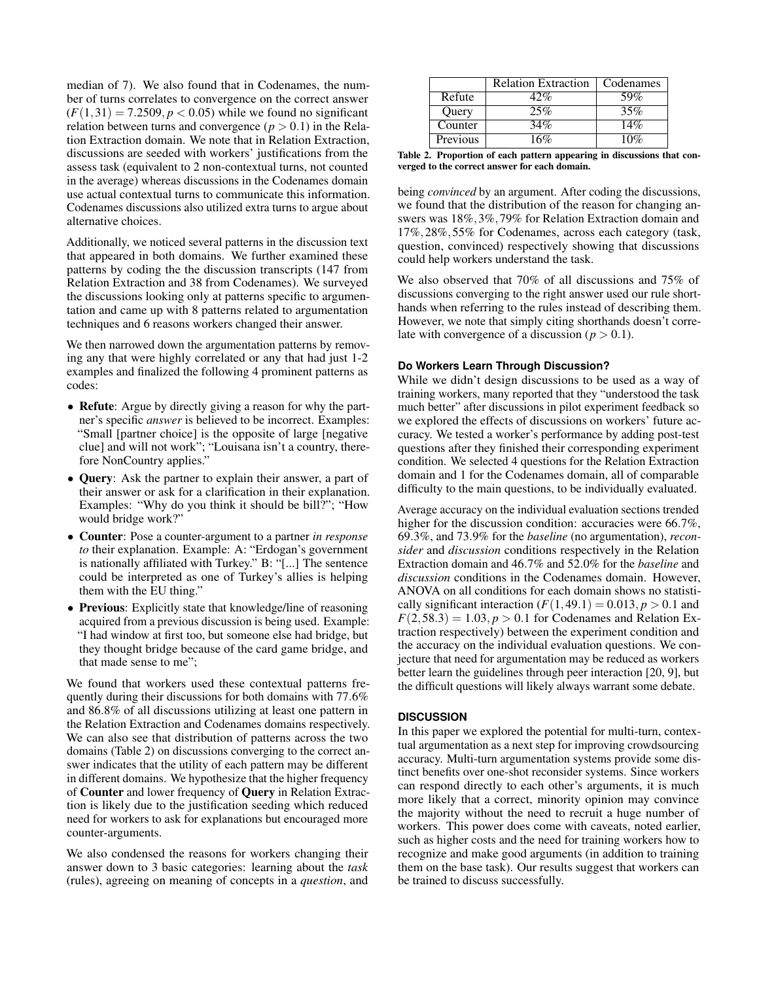median of 7). We also found that in Codenames, the number of turns correlates to convergence on the correct answer  $(F(1,31) = 7.2509, p < 0.05)$  while we found no significant relation between turns and convergence  $(p > 0.1)$  in the Relation Extraction domain. We note that in Relation Extraction, discussions are seeded with workers' justifications from the assess task (equivalent to 2 non-contextual turns, not counted in the average) whereas discussions in the Codenames domain use actual contextual turns to communicate this information. Codenames discussions also utilized extra turns to argue about alternative choices.

Additionally, we noticed several patterns in the discussion text that appeared in both domains. We further examined these patterns by coding the the discussion transcripts (147 from Relation Extraction and 38 from Codenames). We surveyed the discussions looking only at patterns specific to argumentation and came up with 8 patterns related to argumentation techniques and 6 reasons workers changed their answer.

We then narrowed down the argumentation patterns by removing any that were highly correlated or any that had just 1-2 examples and finalized the following 4 prominent patterns as codes:

- Refute: Argue by directly giving a reason for why the partner's specific *answer* is believed to be incorrect. Examples: "Small [partner choice] is the opposite of large [negative clue] and will not work"; "Louisana isn't a country, therefore NonCountry applies."
- Query: Ask the partner to explain their answer, a part of their answer or ask for a clarification in their explanation. Examples: "Why do you think it should be bill?"; "How would bridge work?"
- Counter: Pose a counter-argument to a partner *in response to* their explanation. Example: A: "Erdogan's government is nationally affiliated with Turkey." B: "[...] The sentence could be interpreted as one of Turkey's allies is helping them with the EU thing."
- Previous: Explicitly state that knowledge/line of reasoning acquired from a previous discussion is being used. Example: "I had window at first too, but someone else had bridge, but they thought bridge because of the card game bridge, and that made sense to me";

We found that workers used these contextual patterns frequently during their discussions for both domains with 77.6% and 86.8% of all discussions utilizing at least one pattern in the Relation Extraction and Codenames domains respectively. We can also see that distribution of patterns across the two domains (Table [2\)](#page-8-0) on discussions converging to the correct answer indicates that the utility of each pattern may be different in different domains. We hypothesize that the higher frequency of Counter and lower frequency of Query in Relation Extraction is likely due to the justification seeding which reduced need for workers to ask for explanations but encouraged more counter-arguments.

We also condensed the reasons for workers changing their answer down to 3 basic categories: learning about the *task* (rules), agreeing on meaning of concepts in a *question*, and

|          | <b>Relation Extraction</b> | Codenames |
|----------|----------------------------|-----------|
| Refute   | 12%                        | 59%       |
| Query    | 25%                        | 35%       |
| Counter  | 34%                        | 14%       |
| Previous | 16%                        | 10%       |

<span id="page-8-0"></span>Table 2. Proportion of each pattern appearing in discussions that converged to the correct answer for each domain.

being *convinced* by an argument. After coding the discussions, we found that the distribution of the reason for changing answers was 18%,3%,79% for Relation Extraction domain and 17%,28%,55% for Codenames, across each category (task, question, convinced) respectively showing that discussions could help workers understand the task.

We also observed that 70% of all discussions and 75% of discussions converging to the right answer used our rule shorthands when referring to the rules instead of describing them. However, we note that simply citing shorthands doesn't correlate with convergence of a discussion  $(p > 0.1)$ .

# **Do Workers Learn Through Discussion?**

While we didn't design discussions to be used as a way of training workers, many reported that they "understood the task much better" after discussions in pilot experiment feedback so we explored the effects of discussions on workers' future accuracy. We tested a worker's performance by adding post-test questions after they finished their corresponding experiment condition. We selected 4 questions for the Relation Extraction domain and 1 for the Codenames domain, all of comparable difficulty to the main questions, to be individually evaluated.

Average accuracy on the individual evaluation sections trended higher for the discussion condition: accuracies were 66.7%, 69.3%, and 73.9% for the *baseline* (no argumentation), *reconsider* and *discussion* conditions respectively in the Relation Extraction domain and 46.7% and 52.0% for the *baseline* and *discussion* conditions in the Codenames domain. However, ANOVA on all conditions for each domain shows no statistically significant interaction  $(F(1, 49.1) = 0.013, p > 0.1$  and  $F(2,58.3) = 1.03, p > 0.1$  for Codenames and Relation Extraction respectively) between the experiment condition and the accuracy on the individual evaluation questions. We conjecture that need for argumentation may be reduced as workers better learn the guidelines through peer interaction [\[20,](#page-10-21) [9\]](#page-10-11), but the difficult questions will likely always warrant some debate.

## **DISCUSSION**

In this paper we explored the potential for multi-turn, contextual argumentation as a next step for improving crowdsourcing accuracy. Multi-turn argumentation systems provide some distinct benefits over one-shot reconsider systems. Since workers can respond directly to each other's arguments, it is much more likely that a correct, minority opinion may convince the majority without the need to recruit a huge number of workers. This power does come with caveats, noted earlier, such as higher costs and the need for training workers how to recognize and make good arguments (in addition to training them on the base task). Our results suggest that workers can be trained to discuss successfully.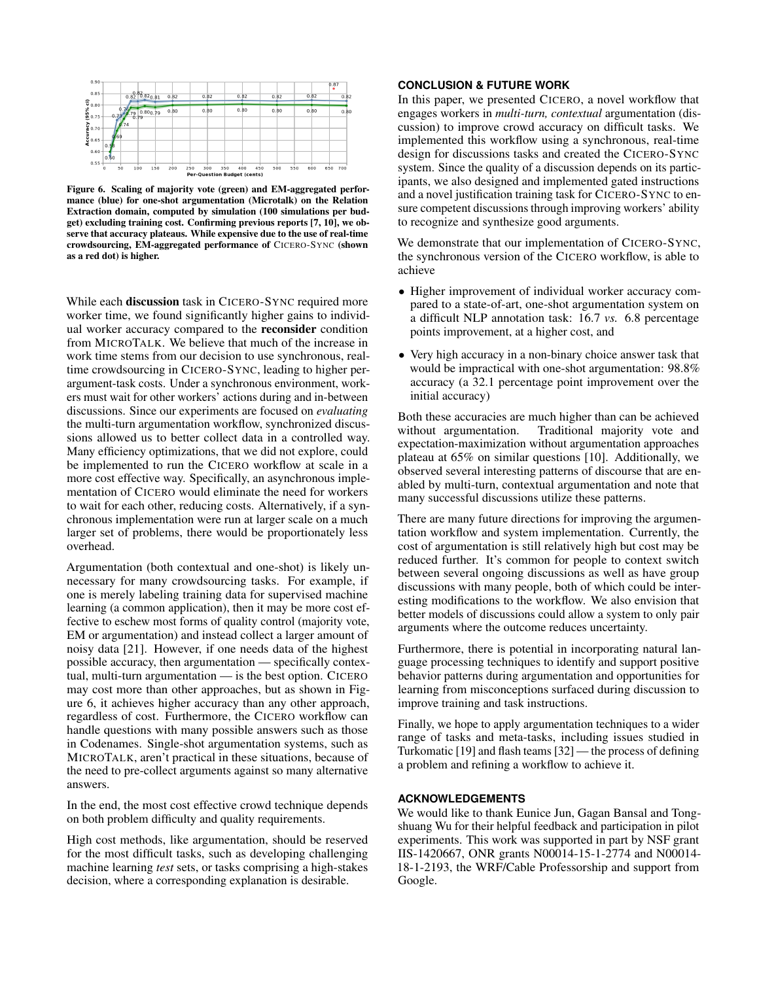

<span id="page-9-0"></span>Figure 6. Scaling of majority vote (green) and EM-aggregated performance (blue) for one-shot argumentation (Microtalk) on the Relation Extraction domain, computed by simulation (100 simulations per budget) excluding training cost. Confirming previous reports [\[7,](#page-10-5) [10\]](#page-10-0), we observe that accuracy plateaus. While expensive due to the use of real-time crowdsourcing, EM-aggregated performance of CICERO-SYNC (shown as a red dot) is higher.

While each discussion task in CICERO-SYNC required more worker time, we found significantly higher gains to individual worker accuracy compared to the reconsider condition from MICROTALK. We believe that much of the increase in work time stems from our decision to use synchronous, realtime crowdsourcing in CICERO-SYNC, leading to higher perargument-task costs. Under a synchronous environment, workers must wait for other workers' actions during and in-between discussions. Since our experiments are focused on *evaluating* the multi-turn argumentation workflow, synchronized discussions allowed us to better collect data in a controlled way. Many efficiency optimizations, that we did not explore, could be implemented to run the CICERO workflow at scale in a more cost effective way. Specifically, an asynchronous implementation of CICERO would eliminate the need for workers to wait for each other, reducing costs. Alternatively, if a synchronous implementation were run at larger scale on a much larger set of problems, there would be proportionately less overhead.

Argumentation (both contextual and one-shot) is likely unnecessary for many crowdsourcing tasks. For example, if one is merely labeling training data for supervised machine learning (a common application), then it may be more cost effective to eschew most forms of quality control (majority vote, EM or argumentation) and instead collect a larger amount of noisy data [\[21\]](#page-10-22). However, if one needs data of the highest possible accuracy, then argumentation — specifically contextual, multi-turn argumentation — is the best option. CICERO may cost more than other approaches, but as shown in Figure [6,](#page-9-0) it achieves higher accuracy than any other approach, regardless of cost. Furthermore, the CICERO workflow can handle questions with many possible answers such as those in Codenames. Single-shot argumentation systems, such as MICROTALK, aren't practical in these situations, because of the need to pre-collect arguments against so many alternative answers.

In the end, the most cost effective crowd technique depends on both problem difficulty and quality requirements.

High cost methods, like argumentation, should be reserved for the most difficult tasks, such as developing challenging machine learning *test* sets, or tasks comprising a high-stakes decision, where a corresponding explanation is desirable.

# **CONCLUSION & FUTURE WORK**

In this paper, we presented CICERO, a novel workflow that engages workers in *multi-turn, contextual* argumentation (discussion) to improve crowd accuracy on difficult tasks. We implemented this workflow using a synchronous, real-time design for discussions tasks and created the CICERO-SYNC system. Since the quality of a discussion depends on its participants, we also designed and implemented gated instructions and a novel justification training task for CICERO-SYNC to ensure competent discussions through improving workers' ability to recognize and synthesize good arguments.

We demonstrate that our implementation of CICERO-SYNC, the synchronous version of the CICERO workflow, is able to achieve

- Higher improvement of individual worker accuracy compared to a state-of-art, one-shot argumentation system on a difficult NLP annotation task: 16.7 *vs.* 6.8 percentage points improvement, at a higher cost, and
- Very high accuracy in a non-binary choice answer task that would be impractical with one-shot argumentation: 98.8% accuracy (a 32.1 percentage point improvement over the initial accuracy)

Both these accuracies are much higher than can be achieved without argumentation. Traditional majority vote and expectation-maximization without argumentation approaches plateau at 65% on similar questions [\[10\]](#page-10-0). Additionally, we observed several interesting patterns of discourse that are enabled by multi-turn, contextual argumentation and note that many successful discussions utilize these patterns.

There are many future directions for improving the argumentation workflow and system implementation. Currently, the cost of argumentation is still relatively high but cost may be reduced further. It's common for people to context switch between several ongoing discussions as well as have group discussions with many people, both of which could be interesting modifications to the workflow. We also envision that better models of discussions could allow a system to only pair arguments where the outcome reduces uncertainty.

Furthermore, there is potential in incorporating natural language processing techniques to identify and support positive behavior patterns during argumentation and opportunities for learning from misconceptions surfaced during discussion to improve training and task instructions.

Finally, we hope to apply argumentation techniques to a wider range of tasks and meta-tasks, including issues studied in Turkomatic [\[19\]](#page-10-23) and flash teams [\[32\]](#page-11-17) — the process of defining a problem and refining a workflow to achieve it.

# **ACKNOWLEDGEMENTS**

We would like to thank Eunice Jun, Gagan Bansal and Tongshuang Wu for their helpful feedback and participation in pilot experiments. This work was supported in part by NSF grant IIS-1420667, ONR grants N00014-15-1-2774 and N00014- 18-1-2193, the WRF/Cable Professorship and support from Google.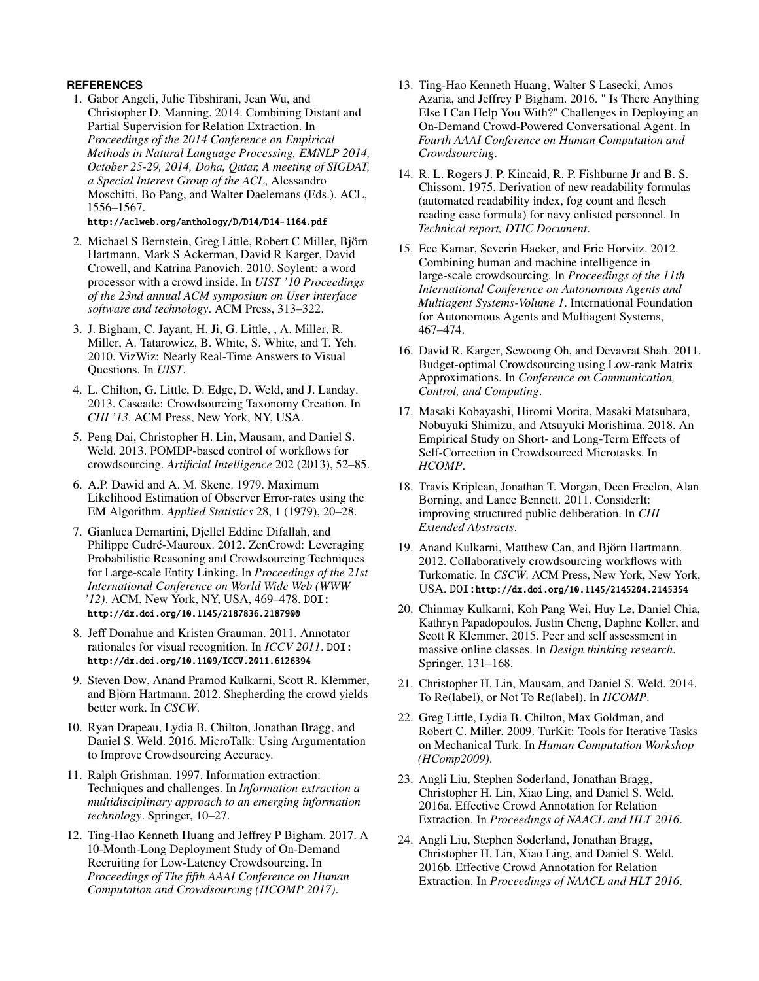# <span id="page-10-20"></span>**REFERENCES**

1. Gabor Angeli, Julie Tibshirani, Jean Wu, and Christopher D. Manning. 2014. Combining Distant and Partial Supervision for Relation Extraction. In *Proceedings of the 2014 Conference on Empirical Methods in Natural Language Processing, EMNLP 2014, October 25-29, 2014, Doha, Qatar, A meeting of SIGDAT, a Special Interest Group of the ACL*, Alessandro Moschitti, Bo Pang, and Walter Daelemans (Eds.). ACL, 1556–1567.

<http://aclweb.org/anthology/D/D14/D14-1164.pdf>

- <span id="page-10-2"></span>2. Michael S Bernstein, Greg Little, Robert C Miller, Björn Hartmann, Mark S Ackerman, David R Karger, David Crowell, and Katrina Panovich. 2010. Soylent: a word processor with a crowd inside. In *UIST '10 Proceedings of the 23nd annual ACM symposium on User interface software and technology*. ACM Press, 313–322.
- <span id="page-10-15"></span>3. J. Bigham, C. Jayant, H. Ji, G. Little, , A. Miller, R. Miller, A. Tatarowicz, B. White, S. White, and T. Yeh. 2010. VizWiz: Nearly Real-Time Answers to Visual Questions. In *UIST*.
- <span id="page-10-3"></span>4. L. Chilton, G. Little, D. Edge, D. Weld, and J. Landay. 2013. Cascade: Crowdsourcing Taxonomy Creation. In *CHI '13*. ACM Press, New York, NY, USA.
- <span id="page-10-8"></span>5. Peng Dai, Christopher H. Lin, Mausam, and Daniel S. Weld. 2013. POMDP-based control of workflows for crowdsourcing. *Artificial Intelligence* 202 (2013), 52–85.
- <span id="page-10-4"></span>6. A.P. Dawid and A. M. Skene. 1979. Maximum Likelihood Estimation of Observer Error-rates using the EM Algorithm. *Applied Statistics* 28, 1 (1979), 20–28.
- <span id="page-10-5"></span>7. Gianluca Demartini, Djellel Eddine Difallah, and Philippe Cudré-Mauroux. 2012. ZenCrowd: Leveraging Probabilistic Reasoning and Crowdsourcing Techniques for Large-scale Entity Linking. In *Proceedings of the 21st International Conference on World Wide Web (WWW '12)*. ACM, New York, NY, USA, 469–478. DOI: <http://dx.doi.org/10.1145/2187836.2187900>
- <span id="page-10-10"></span>8. Jeff Donahue and Kristen Grauman. 2011. Annotator rationales for visual recognition. In *ICCV 2011*. DOI: <http://dx.doi.org/10.1109/ICCV.2011.6126394>
- <span id="page-10-11"></span>9. Steven Dow, Anand Pramod Kulkarni, Scott R. Klemmer, and Björn Hartmann. 2012. Shepherding the crowd yields better work. In *CSCW*.
- <span id="page-10-0"></span>10. Ryan Drapeau, Lydia B. Chilton, Jonathan Bragg, and Daniel S. Weld. 2016. MicroTalk: Using Argumentation to Improve Crowdsourcing Accuracy.
- <span id="page-10-19"></span>11. Ralph Grishman. 1997. Information extraction: Techniques and challenges. In *Information extraction a multidisciplinary approach to an emerging information technology*. Springer, 10–27.
- <span id="page-10-16"></span>12. Ting-Hao Kenneth Huang and Jeffrey P Bigham. 2017. A 10-Month-Long Deployment Study of On-Demand Recruiting for Low-Latency Crowdsourcing. In *Proceedings of The fifth AAAI Conference on Human Computation and Crowdsourcing (HCOMP 2017)*.
- <span id="page-10-14"></span>13. Ting-Hao Kenneth Huang, Walter S Lasecki, Amos Azaria, and Jeffrey P Bigham. 2016. " Is There Anything Else I Can Help You With?" Challenges in Deploying an On-Demand Crowd-Powered Conversational Agent. In *Fourth AAAI Conference on Human Computation and Crowdsourcing*.
- <span id="page-10-18"></span>14. R. L. Rogers J. P. Kincaid, R. P. Fishburne Jr and B. S. Chissom. 1975. Derivation of new readability formulas (automated readability index, fog count and flesch reading ease formula) for navy enlisted personnel. In *Technical report, DTIC Document*.
- <span id="page-10-9"></span>15. Ece Kamar, Severin Hacker, and Eric Horvitz. 2012. Combining human and machine intelligence in large-scale crowdsourcing. In *Proceedings of the 11th International Conference on Autonomous Agents and Multiagent Systems-Volume 1*. International Foundation for Autonomous Agents and Multiagent Systems, 467–474.
- <span id="page-10-7"></span>16. David R. Karger, Sewoong Oh, and Devavrat Shah. 2011. Budget-optimal Crowdsourcing using Low-rank Matrix Approximations. In *Conference on Communication, Control, and Computing*.
- <span id="page-10-13"></span>17. Masaki Kobayashi, Hiromi Morita, Masaki Matsubara, Nobuyuki Shimizu, and Atsuyuki Morishima. 2018. An Empirical Study on Short- and Long-Term Effects of Self-Correction in Crowdsourced Microtasks. In *HCOMP*.
- <span id="page-10-12"></span>18. Travis Kriplean, Jonathan T. Morgan, Deen Freelon, Alan Borning, and Lance Bennett. 2011. ConsiderIt: improving structured public deliberation. In *CHI Extended Abstracts*.
- <span id="page-10-23"></span>19. Anand Kulkarni, Matthew Can, and Björn Hartmann. 2012. Collaboratively crowdsourcing workflows with Turkomatic. In *CSCW*. ACM Press, New York, New York, USA. DOI:<http://dx.doi.org/10.1145/2145204.2145354>
- <span id="page-10-21"></span>20. Chinmay Kulkarni, Koh Pang Wei, Huy Le, Daniel Chia, Kathryn Papadopoulos, Justin Cheng, Daphne Koller, and Scott R Klemmer. 2015. Peer and self assessment in massive online classes. In *Design thinking research*. Springer, 131–168.
- <span id="page-10-22"></span>21. Christopher H. Lin, Mausam, and Daniel S. Weld. 2014. To Re(label), or Not To Re(label). In *HCOMP*.
- <span id="page-10-1"></span>22. Greg Little, Lydia B. Chilton, Max Goldman, and Robert C. Miller. 2009. TurKit: Tools for Iterative Tasks on Mechanical Turk. In *Human Computation Workshop (HComp2009)*.
- <span id="page-10-6"></span>23. Angli Liu, Stephen Soderland, Jonathan Bragg, Christopher H. Lin, Xiao Ling, and Daniel S. Weld. 2016a. Effective Crowd Annotation for Relation Extraction. In *Proceedings of NAACL and HLT 2016*.
- <span id="page-10-17"></span>24. Angli Liu, Stephen Soderland, Jonathan Bragg, Christopher H. Lin, Xiao Ling, and Daniel S. Weld. 2016b. Effective Crowd Annotation for Relation Extraction. In *Proceedings of NAACL and HLT 2016*.